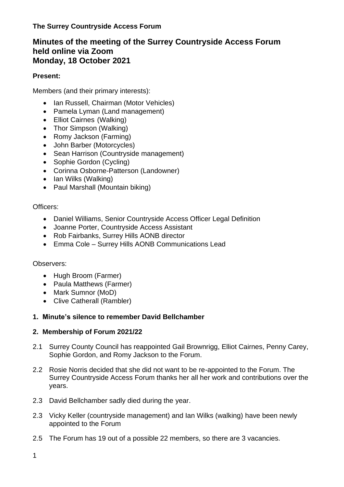# **Minutes of the meeting of the Surrey Countryside Access Forum held online via Zoom Monday, 18 October 2021**

# **Present:**

Members (and their primary interests):

- Ian Russell, Chairman (Motor Vehicles)
- Pamela Lyman (Land management)
- Elliot Cairnes (Walking)
- Thor Simpson (Walking)
- Romy Jackson (Farming)
- John Barber (Motorcycles)
- Sean Harrison (Countryside management)
- Sophie Gordon (Cycling)
- Corinna Osborne-Patterson (Landowner)
- Ian Wilks (Walking)
- Paul Marshall (Mountain biking)

### Officers:

- Daniel Williams, Senior Countryside Access Officer Legal Definition
- Joanne Porter, Countryside Access Assistant
- Rob Fairbanks, Surrey Hills AONB director
- Emma Cole Surrey Hills AONB Communications Lead

### Observers:

- Hugh Broom (Farmer)
- Paula Matthews (Farmer)
- Mark Sumnor (MoD)
- Clive Catherall (Rambler)

### **1. Minute's silence to remember David Bellchamber**

### **2. Membership of Forum 2021/22**

- 2.1 Surrey County Council has reappointed Gail Brownrigg, Elliot Cairnes, Penny Carey, Sophie Gordon, and Romy Jackson to the Forum.
- 2.2 Rosie Norris decided that she did not want to be re-appointed to the Forum. The Surrey Countryside Access Forum thanks her all her work and contributions over the years.
- 2.3 David Bellchamber sadly died during the year.
- 2.3 Vicky Keller (countryside management) and Ian Wilks (walking) have been newly appointed to the Forum
- 2.5 The Forum has 19 out of a possible 22 members, so there are 3 vacancies.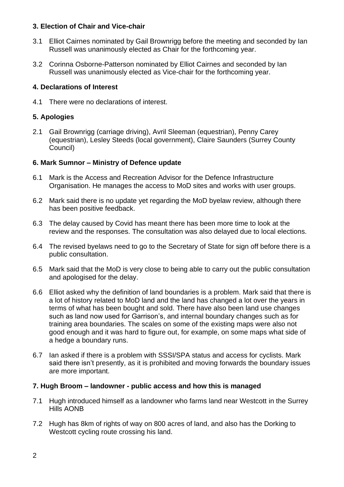#### **3. Election of Chair and Vice-chair**

- 3.1 Elliot Cairnes nominated by Gail Brownrigg before the meeting and seconded by Ian Russell was unanimously elected as Chair for the forthcoming year.
- 3.2 Corinna Osborne-Patterson nominated by Elliot Cairnes and seconded by Ian Russell was unanimously elected as Vice-chair for the forthcoming year.

#### **4. Declarations of Interest**

4.1 There were no declarations of interest.

## **5. Apologies**

2.1 Gail Brownrigg (carriage driving), Avril Sleeman (equestrian), Penny Carey (equestrian), Lesley Steeds (local government), Claire Saunders (Surrey County Council)

### **6. Mark Sumnor – Ministry of Defence update**

- 6.1 Mark is the Access and Recreation Advisor for the Defence Infrastructure Organisation. He manages the access to MoD sites and works with user groups.
- 6.2 Mark said there is no update yet regarding the MoD byelaw review, although there has been positive feedback.
- 6.3 The delay caused by Covid has meant there has been more time to look at the review and the responses. The consultation was also delayed due to local elections.
- 6.4 The revised byelaws need to go to the Secretary of State for sign off before there is a public consultation.
- 6.5 Mark said that the MoD is very close to being able to carry out the public consultation and apologised for the delay.
- 6.6 Elliot asked why the definition of land boundaries is a problem. Mark said that there is a lot of history related to MoD land and the land has changed a lot over the years in terms of what has been bought and sold. There have also been land use changes such as land now used for Garrison's, and internal boundary changes such as for training area boundaries. The scales on some of the existing maps were also not good enough and it was hard to figure out, for example, on some maps what side of a hedge a boundary runs.
- 6.7 Ian asked if there is a problem with SSSI/SPA status and access for cyclists. Mark said there isn't presently, as it is prohibited and moving forwards the boundary issues are more important.

#### **7. Hugh Broom – landowner - public access and how this is managed**

- 7.1 Hugh introduced himself as a landowner who farms land near Westcott in the Surrey Hills AONB
- 7.2 Hugh has 8km of rights of way on 800 acres of land, and also has the Dorking to Westcott cycling route crossing his land.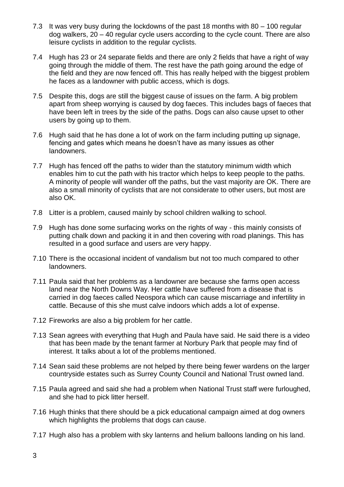- 7.3 It was very busy during the lockdowns of the past 18 months with 80 100 regular dog walkers, 20 – 40 regular cycle users according to the cycle count. There are also leisure cyclists in addition to the regular cyclists.
- 7.4 Hugh has 23 or 24 separate fields and there are only 2 fields that have a right of way going through the middle of them. The rest have the path going around the edge of the field and they are now fenced off. This has really helped with the biggest problem he faces as a landowner with public access, which is dogs.
- 7.5 Despite this, dogs are still the biggest cause of issues on the farm. A big problem apart from sheep worrying is caused by dog faeces. This includes bags of faeces that have been left in trees by the side of the paths. Dogs can also cause upset to other users by going up to them.
- 7.6 Hugh said that he has done a lot of work on the farm including putting up signage, fencing and gates which means he doesn't have as many issues as other landowners.
- 7.7 Hugh has fenced off the paths to wider than the statutory minimum width which enables him to cut the path with his tractor which helps to keep people to the paths. A minority of people will wander off the paths, but the vast majority are OK. There are also a small minority of cyclists that are not considerate to other users, but most are also OK.
- 7.8 Litter is a problem, caused mainly by school children walking to school.
- 7.9 Hugh has done some surfacing works on the rights of way this mainly consists of putting chalk down and packing it in and then covering with road planings. This has resulted in a good surface and users are very happy.
- 7.10 There is the occasional incident of vandalism but not too much compared to other landowners.
- 7.11 Paula said that her problems as a landowner are because she farms open access land near the North Downs Way. Her cattle have suffered from a disease that is carried in dog faeces called Neospora which can cause miscarriage and infertility in cattle. Because of this she must calve indoors which adds a lot of expense.
- 7.12 Fireworks are also a big problem for her cattle.
- 7.13 Sean agrees with everything that Hugh and Paula have said. He said there is a video that has been made by the tenant farmer at Norbury Park that people may find of interest. It talks about a lot of the problems mentioned.
- 7.14 Sean said these problems are not helped by there being fewer wardens on the larger countryside estates such as Surrey County Council and National Trust owned land.
- 7.15 Paula agreed and said she had a problem when National Trust staff were furloughed, and she had to pick litter herself.
- 7.16 Hugh thinks that there should be a pick educational campaign aimed at dog owners which highlights the problems that dogs can cause.
- 7.17 Hugh also has a problem with sky lanterns and helium balloons landing on his land.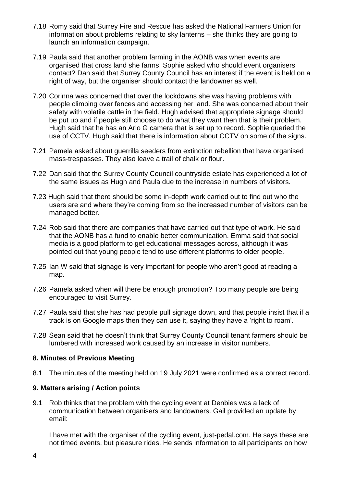- 7.18 Romy said that Surrey Fire and Rescue has asked the National Farmers Union for information about problems relating to sky lanterns – she thinks they are going to launch an information campaign.
- 7.19 Paula said that another problem farming in the AONB was when events are organised that cross land she farms. Sophie asked who should event organisers contact? Dan said that Surrey County Council has an interest if the event is held on a right of way, but the organiser should contact the landowner as well.
- 7.20 Corinna was concerned that over the lockdowns she was having problems with people climbing over fences and accessing her land. She was concerned about their safety with volatile cattle in the field. Hugh advised that appropriate signage should be put up and if people still choose to do what they want then that is their problem. Hugh said that he has an Arlo G camera that is set up to record. Sophie queried the use of CCTV. Hugh said that there is information about CCTV on some of the signs.
- 7.21 Pamela asked about guerrilla seeders from extinction rebellion that have organised mass-trespasses. They also leave a trail of chalk or flour.
- 7.22 Dan said that the Surrey County Council countryside estate has experienced a lot of the same issues as Hugh and Paula due to the increase in numbers of visitors.
- 7.23 Hugh said that there should be some in-depth work carried out to find out who the users are and where they're coming from so the increased number of visitors can be managed better.
- 7.24 Rob said that there are companies that have carried out that type of work. He said that the AONB has a fund to enable better communication. Emma said that social media is a good platform to get educational messages across, although it was pointed out that young people tend to use different platforms to older people.
- 7.25 Ian W said that signage is very important for people who aren't good at reading a map.
- 7.26 Pamela asked when will there be enough promotion? Too many people are being encouraged to visit Surrey.
- 7.27 Paula said that she has had people pull signage down, and that people insist that if a track is on Google maps then they can use it, saying they have a 'right to roam'.
- 7.28 Sean said that he doesn't think that Surrey County Council tenant farmers should be lumbered with increased work caused by an increase in visitor numbers.

#### **8. Minutes of Previous Meeting**

8.1 The minutes of the meeting held on 19 July 2021 were confirmed as a correct record.

#### **9. Matters arising / Action points**

9.1 Rob thinks that the problem with the cycling event at Denbies was a lack of communication between organisers and landowners. Gail provided an update by email:

I have met with the organiser of the cycling event, just-pedal.com. He says these are not timed events, but pleasure rides. He sends information to all participants on how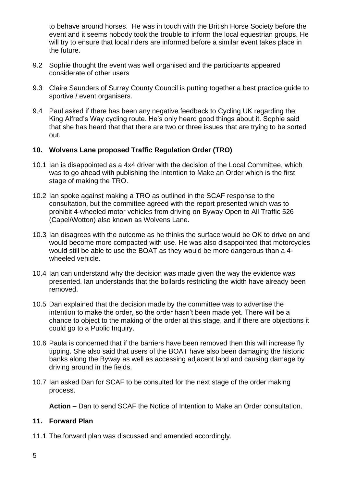to behave around horses. He was in touch with the British Horse Society before the event and it seems nobody took the trouble to inform the local equestrian groups. He will try to ensure that local riders are informed before a similar event takes place in the future.

- 9.2 Sophie thought the event was well organised and the participants appeared considerate of other users
- 9.3 Claire Saunders of Surrey County Council is putting together a best practice guide to sportive / event organisers.
- 9.4 Paul asked if there has been any negative feedback to Cycling UK regarding the King Alfred's Way cycling route. He's only heard good things about it. Sophie said that she has heard that that there are two or three issues that are trying to be sorted out.

#### **10. Wolvens Lane proposed Traffic Regulation Order (TRO)**

- 10.1 Ian is disappointed as a 4x4 driver with the decision of the Local Committee, which was to go ahead with publishing the Intention to Make an Order which is the first stage of making the TRO.
- 10.2 Ian spoke against making a TRO as outlined in the SCAF response to the consultation, but the committee agreed with the report presented which was to prohibit 4-wheeled motor vehicles from driving on Byway Open to All Traffic 526 (Capel/Wotton) also known as Wolvens Lane.
- 10.3 Ian disagrees with the outcome as he thinks the surface would be OK to drive on and would become more compacted with use. He was also disappointed that motorcycles would still be able to use the BOAT as they would be more dangerous than a 4 wheeled vehicle.
- 10.4 Ian can understand why the decision was made given the way the evidence was presented. Ian understands that the bollards restricting the width have already been removed.
- 10.5 Dan explained that the decision made by the committee was to advertise the intention to make the order, so the order hasn't been made yet. There will be a chance to object to the making of the order at this stage, and if there are objections it could go to a Public Inquiry.
- 10.6 Paula is concerned that if the barriers have been removed then this will increase fly tipping. She also said that users of the BOAT have also been damaging the historic banks along the Byway as well as accessing adjacent land and causing damage by driving around in the fields.
- 10.7 Ian asked Dan for SCAF to be consulted for the next stage of the order making process.

**Action –** Dan to send SCAF the Notice of Intention to Make an Order consultation.

#### **11. Forward Plan**

11.1 The forward plan was discussed and amended accordingly.